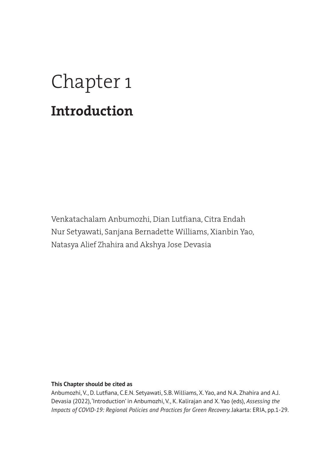# Chapter 1 **Introduction**

Venkatachalam Anbumozhi, Dian Lutfiana, Citra Endah Nur Setyawati, Sanjana Bernadette Williams, Xianbin Yao, Natasya Alief Zhahira and Akshya Jose Devasia

#### **This Chapter should be cited as**

Anbumozhi, V., D. Lutfiana, C.E.N. Setyawati, S.B. Williams, X. Yao, and N.A. Zhahira and A.J. Devasia (2022), 'Introduction' in Anbumozhi, V., K. Kalirajan and X. Yao (eds), *Assessing the Impacts of COVID-19: Regional Policies and Practices for Green Recovery. Jakarta: ERIA, pp.1-29.*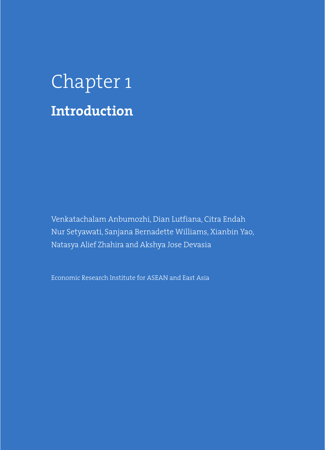# Chapter 1 **Introduction**

Venkatachalam Anbumozhi, Dian Lutfiana, Citra Endah Nur Setyawati, Sanjana Bernadette Williams, Xianbin Yao, Natasya Alief Zhahira and Akshya Jose Devasia

Economic Research Institute for ASEAN and East Asia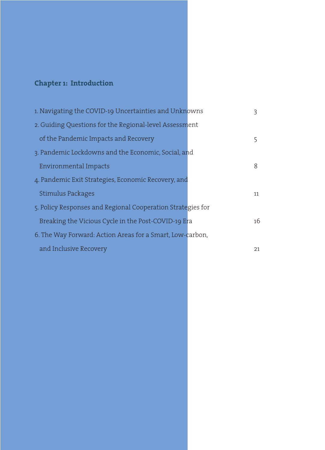### **Chapter 1: Introduction**

| 1. Navigating the COVID-19 Uncertainties and Unknowns       | ੨  |
|-------------------------------------------------------------|----|
| 2. Guiding Questions for the Regional-level Assessment      |    |
| of the Pandemic Impacts and Recovery                        | 5  |
| 3. Pandemic Lockdowns and the Economic, Social, and         |    |
| Environmental Impacts                                       | 8  |
| 4. Pandemic Exit Strategies, Economic Recovery, and         |    |
| Stimulus Packages                                           | 11 |
| 5. Policy Responses and Regional Cooperation Strategies for |    |
| Breaking the Vicious Cycle in the Post-COVID-19 Era         | 16 |
| 6. The Way Forward: Action Areas for a Smart, Low-carbon,   |    |
| and Inclusive Recovery                                      | 21 |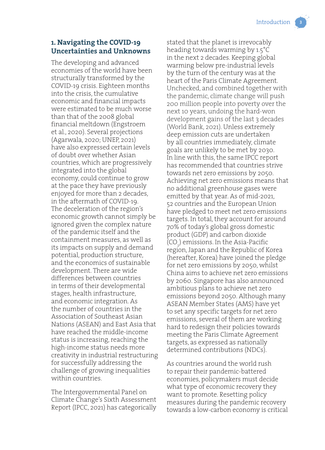#### **1. Navigating the COVID-19 Uncertainties and Unknowns**

The developing and advanced economies of the world have been structurally transformed by the COVID-19 crisis. Eighteen months into the crisis, the cumulative economic and financial impacts were estimated to be much worse than that of the 2008 global financial meltdown (Engstroem et al., 2020). Several projections (Agarwala, 2020; UNEP, 2021) have also expressed certain levels of doubt over whether Asian countries, which are progressively integrated into the global economy, could continue to grow at the pace they have previously enjoyed for more than 2 decades, in the aftermath of COVID-19. The deceleration of the region's economic growth cannot simply be ignored given the complex nature of the pandemic itself and the containment measures, as well as its impacts on supply and demand potential, production structure, and the economics of sustainable development. There are wide differences between countries in terms of their developmental stages, health infrastructure, and economic integration. As the number of countries in the Association of Southeast Asian Nations (ASEAN) and East Asia that have reached the middle-income status is increasing, reaching the high-income status needs more creativity in industrial restructuring for successfully addressing the challenge of growing inequalities within countries.

The Intergovernmental Panel on Climate Change's Sixth Assessment Report (IPCC, 2021) has categorically stated that the planet is irrevocably heading towards warming by 1.5°C in the next 2 decades. Keeping global warming below pre-industrial levels by the turn of the century was at the heart of the Paris Climate Agreement. Unchecked, and combined together with the pandemic, climate change will push 200 million people into poverty over the next 10 years, undoing the hard-won development gains of the last 3 decades (World Bank, 2021). Unless extremely deep emission cuts are undertaken by all countries immediately, climate goals are unlikely to be met by 2030. In line with this, the same IPCC report has recommended that countries strive towards net zero emissions by 2050. Achieving net zero emissions means that no additional greenhouse gases were emitted by that year. As of mid-2021, 52 countries and the European Union have pledged to meet net zero emissions targets. In total, they account for around 70% of today's global gross domestic product (GDP) and carbon dioxide  $({\rm CO}_{2})$  emissions. In the Asia-Pacific region, Japan and the Republic of Korea (hereafter, Korea) have joined the pledge for net zero emissions by 2050, whilst China aims to achieve net zero emissions by 2060. Singapore has also announced ambitious plans to achieve net zero emissions beyond 2050. Although many ASEAN Member States (AMS) have yet to set any specific targets for net zero emissions, several of them are working hard to redesign their policies towards meeting the Paris Climate Agreement targets, as expressed as nationally determined contributions (NDCs).

As countries around the world rush to repair their pandemic-battered economies, policymakers must decide what type of economic recovery they want to promote. Resetting policy measures during the pandemic recovery towards a low-carbon economy is critical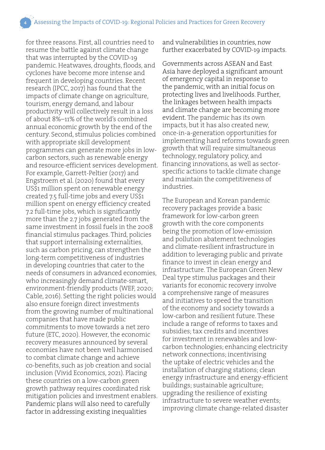for three reasons. First, all countries need to resume the battle against climate change that was interrupted by the COVID-19 pandemic. Heatwaves, droughts, floods, and cyclones have become more intense and frequent in developing countries. Recent research (IPCC, 2017) has found that the impacts of climate change on agriculture, tourism, energy demand, and labour productivity will collectively result in a loss of about 8%–11% of the world's combined annual economic growth by the end of the century. Second, stimulus policies combined with appropriate skill development programmes can generate more jobs in lowcarbon sectors, such as renewable energy and resource-efficient services development. For example, Garrett-Peltier (2017) and Engstroem et al. (2020) found that every US\$1 million spent on renewable energy created 7.5 full-time jobs and every US\$1 million spent on energy efficiency created 7.2 full-time jobs, which is significantly more than the 2.7 jobs generated from the same investment in fossil fuels in the 2008 financial stimulus packages. Third, policies that support internalising externalities, such as carbon pricing, can strengthen the long-term competitiveness of industries in developing countries that cater to the needs of consumers in advanced economies, who increasingly demand climate-smart, environment-friendly products (WEF, 2020; Cable, 2016). Setting the right policies would also ensure foreign direct investments from the growing number of multinational companies that have made public commitments to move towards a net zero future (ETC, 2020). However, the economic recovery measures announced by several economies have not been well harmonised to combat climate change and achieve co-benefits, such as job creation and social inclusion (Vivid Economics, 2021). Placing these countries on a low-carbon green growth pathway requires coordinated risk mitigation policies and investment enablers. Pandemic plans will also need to carefully factor in addressing existing inequalities

and vulnerabilities in countries, now further exacerbated by COVID-19 impacts.

Governments across ASEAN and East Asia have deployed a significant amount of emergency capital in response to the pandemic, with an initial focus on protecting lives and livelihoods. Further, the linkages between health impacts and climate change are becoming more evident. The pandemic has its own impacts, but it has also created new, once-in-a-generation opportunities for implementing hard reforms towards green growth that will require simultaneous technology, regulatory policy, and financing innovations, as well as sectorspecific actions to tackle climate change and maintain the competitiveness of industries.

The European and Korean pandemic recovery packages provide a basic framework for low-carbon green growth with the core components being the promotion of low-emission and pollution abatement technologies and climate-resilient infrastructure in addition to leveraging public and private finance to invest in clean energy and infrastructure. The European Green New Deal type stimulus packages and their variants for economic recovery involve a comprehensive range of measures and initiatives to speed the transition of the economy and society towards a low-carbon and resilient future. These include a range of reforms to taxes and subsidies; tax credits and incentives for investment in renewables and lowcarbon technologies; enhancing electricity network connections; incentivising the uptake of electric vehicles and the installation of charging stations; clean energy infrastructure and energy-efficient buildings; sustainable agriculture; upgrading the resilience of existing infrastructure to severe weather events; improving climate change-related disaster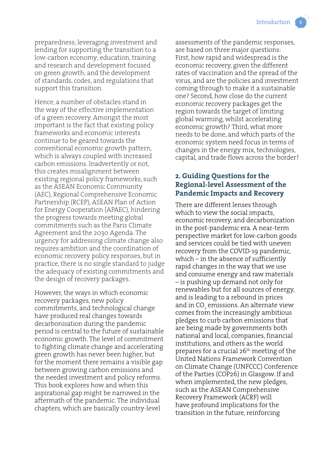preparedness; leveraging investment and lending for supporting the transition to a low-carbon economy; education, training and research and development focused on green growth; and the development of standards, codes, and regulations that support this transition.

Hence, a number of obstacles stand in the way of the effective implementation of a green recovery. Amongst the most important is the fact that existing policy frameworks and economic interests continue to be geared towards the conventional economic growth pattern, which is always coupled with increased carbon emissions. Inadvertently or not, this creates misalignment between existing regional policy frameworks, such as the ASEAN Economic Community (AEC), Regional Comprehensive Economic Partnership (RCEP), ASEAN Plan of Action for Energy Cooperation (APAEC), hindering the progress towards meeting global commitments such as the Paris Climate Agreement and the 2030 Agenda. The urgency for addressing climate change also requires ambition and the coordination of economic recovery policy responses, but in practice, there is no single standard to judge the adequacy of existing commitments and the design of recovery packages.

However, the ways in which economic recovery packages, new policy commitments, and technological change have produced real changes towards decarbonisation during the pandemic period is central to the future of sustainable economic growth. The level of commitment to fighting climate change and accelerating green growth has never been higher, but for the moment there remains a visible gap between growing carbon emissions and the needed investment and policy reforms. This book explores how and when this aspirational gap might be narrowed in the aftermath of the pandemic. The individual chapters, which are basically country-level

assessments of the pandemic responses, are based on three major questions: First, how rapid and widespread is the economic recovery, given the different rates of vaccination and the spread of the virus, and are the policies and investment coming through to make it a sustainable one? Second, how close do the current economic recovery packages get the region towards the target of limiting global warming, whilst accelerating economic growth? Third, what more needs to be done, and which parts of the economic system need focus in terms of changes in the energy mix, technologies, capital, and trade flows across the border?

#### **2. Guiding Questions for the Regional-level Assessment of the Pandemic Impacts and Recovery**

There are different lenses through which to view the social impacts, economic recovery, and decarbonization in the post-pandemic era. A near-term perspective market for low-carbon goods and services could be tied with uneven recovery from the COVID-19 pandemic, which – in the absence of sufficiently rapid changes in the way that we use and consume energy and raw materials – is pushing up demand not only for renewables but for all sources of energy, and is leading to a rebound in prices and in  $\mathsf{CO}_2$  emissions. An alternate view comes from the increasingly ambitious pledges to curb carbon emissions that are being made by governments both national and local, companies, financial institutions, and others as the world prepares for a crucial 26th meeting of the United Nations Framework Convention on Climate Change (UNFCCC) Conference of the Parties (COP26) in Glasgow. If and when implemented, the new pledges, such as the ASEAN Comprehensive Recovery Framework (ACRF) will have profound implications for the transition in the future, reinforcing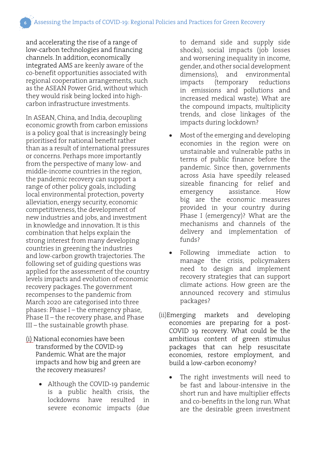and accelerating the rise of a range of low-carbon technologies and financing channels. In addition, economically integrated AMS are keenly aware of the co-benefit opportunities associated with regional cooperation arrangements, such as the ASEAN Power Grid, without which they would risk being locked into highcarbon infrastructure investments.

In ASEAN, China, and India, decoupling economic growth from carbon emissions is a policy goal that is increasingly being prioritised for national benefit rather than as a result of international pressures or concerns. Perhaps more importantly from the perspective of many low- and middle-income countries in the region, the pandemic recovery can support a range of other policy goals, including local environmental protection, poverty alleviation, energy security, economic competitiveness, the development of new industries and jobs, and investment in knowledge and innovation. It is this combination that helps explain the strong interest from many developing countries in greening the industries and low-carbon growth trajectories. The following set of guiding questions was applied for the assessment of the country levels impacts and evolution of economic recovery packages. The government recompenses to the pandemic from March 2020 are categorised into three phases: Phase I – the emergency phase, Phase II – the recovery phase, and Phase III – the sustainable growth phase.

- (i) National economies have been transformed by the COVID-19 Pandemic. What are the major impacts and how big and green are the recovery measures?
	- Although the COVID-19 pandemic is a public health crisis, the lockdowns have resulted in severe economic impacts (due

to demand side and supply side shocks), social impacts (job losses and worsening inequality in income, gender, and other social development dimensions), and environmental impacts (temporary reductions in emissions and pollutions and increased medical waste). What are the compound impacts, multiplicity trends, and close linkages of the impacts during lockdown?

- Most of the emerging and developing economies in the region were on unstainable and vulnerable paths in terms of public finance before the pandemic. Since then, governments across Asia have speedily released sizeable financing for relief and emergency assistance. How big are the economic measures provided in your country during Phase I (emergency)? What are the mechanisms and channels of the delivery and implementation of funds?
- Following immediate action to manage the crisis, policymakers need to design and implement recovery strategies that can support climate actions. How green are the announced recovery and stimulus packages?
- (ii)Emerging markets and developing economies are preparing for a post-COVID 19 recovery. What could be the ambitious content of green stimulus packages that can help resuscitate economies, restore employment, and build a low-carbon economy?
	- The right investments will need to be fast and labour-intensive in the short run and have multiplier effects and co-benefits in the long run. What are the desirable green investment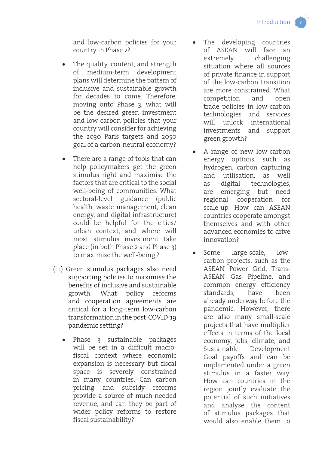and low-carbon policies for your country in Phase 2?

- The quality, content, and strength of medium-term development plans will determine the pattern of inclusive and sustainable growth for decades to come. Therefore, moving onto Phase 3, what will be the desired green investment and low-carbon policies that your country will consider for achieving the 2030 Paris targets and 2050 goal of a carbon-neutral economy?
- There are a range of tools that can help policymakers get the green stimulus right and maximise the factors that are critical to the social well-being of communities. What sectoral-level guidance (public health, waste management, clean energy, and digital infrastructure) could be helpful for the cities/ urban context, and where will most stimulus investment take place (in both Phase 2 and Phase 3) to maximise the well-being ?
- (iii) Green stimulus packages also need supporting policies to maximise the benefits of inclusive and sustainable growth. What policy reforms and cooperation agreements are critical for a long-term low-carbon transformation in the post-COVID-19 pandemic setting?
	- Phase 3 sustainable packages will be set in a difficult macrofiscal context where economic expansion is necessary but fiscal space is severely constrained in many countries. Can carbon pricing and subsidy reforms provide a source of much-needed revenue, and can they be part of wider policy reforms to restore fiscal sustainability?
- The developing countries of ASEAN will face an extremely challenging situation where all sources of private finance in support of the low-carbon transition are more constrained. What competition and open trade policies in low-carbon technologies and services will unlock international investments and support green growth?
- A range of new low-carbon energy options, such as hydrogen, carbon capturing and utilisation, as well as digital technologies, are emerging but need regional cooperation for scale-up. How can ASEAN countries cooperate amongst themselves and with other advanced economies to drive innovation?
- Some large-scale, lowcarbon projects, such as the ASEAN Power Grid, Trans-ASEAN Gas Pipeline, and common energy efficiency standards, have been already underway before the pandemic. However, there are also many small-scale projects that have multiplier effects in terms of the local economy, jobs, climate, and Sustainable Development Goal payoffs and can be implemented under a green stimulus in a faster way. How can countries in the region jointly evaluate the potential of such initiatives and analyse the content of stimulus packages that would also enable them to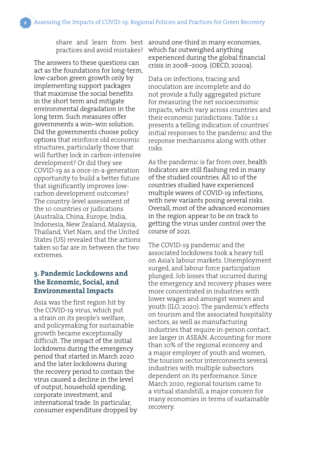share and learn from best practices and avoid mistakes?

The answers to these questions can act as the foundations for long-term, low-carbon green growth only by implementing support packages that maximise the social benefits in the short term and mitigate environmental degradation in the long term. Such measures offer governments a win–win solution. Did the governments choose policy options that reinforce old economic structures, particularly those that will further lock in carbon-intensive development? Or did they see COVID-19 as a once-in-a-generation opportunity to build a better future that significantly improves lowcarbon development outcomes? The country-level assessment of the 10 countries or judications (Australia, China, Europe, India, Indonesia, New Zealand, Malaysia, Thailand, Viet Nam, and the United States (US) revealed that the actions taken so far are in between the two extremes.

#### **3. Pandemic Lockdowns and the Economic, Social, and Environmental Impacts**

Asia was the first region hit by the COVID-19 virus, which put a strain on its people's welfare, and policymaking for sustainable growth became exceptionally difficult. The impact of the initial lockdowns during the emergency period that started in March 2020 and the later lockdowns during the recovery period to contain the virus caused a decline in the level of output, household spending, corporate investment, and international trade. In particular, consumer expenditure dropped by around one-third in many economies, which far outweighed anything experienced during the global financial crisis in 2008–2009. (OECD, 2020a).

Data on infections, tracing and inoculation are incomplete and do not provide a fully aggregated picture for measuring the net socioeconomic impacts, which vary across countries and their economic jurisdictions. Table 1.1 presents a telling indication of countries' initial responses to the pandemic and the response mechanisms along with other risks.

As the pandemic is far from over, health indicators are still flashing red in many of the studied countries. All 10 of the countries studied have experienced multiple waves of COVID-19 infections, with new variants posing several risks. Overall, most of the advanced economies in the region appear to be on track to getting the virus under control over the course of 2021.

The COVID-19 pandemic and the associated lockdowns took a heavy toll on Asia's labour markets. Unemployment surged, and labour force participation plunged. Job losses that occurred during the emergency and recovery phases were more concentrated in industries with lower wages and amongst women and youth (ILO, 2020). The pandemic's effects on tourism and the associated hospitality sectors, as well as manufacturing industries that require in-person contact, are larger in ASEAN. Accounting for more than 10% of the regional economy and a major employer of youth and women, the tourism sector interconnects several industries with multiple subsectors dependent on its performance. Since March 2020, regional tourism came to a virtual standstill, a major concern for many economies in terms of sustainable recovery.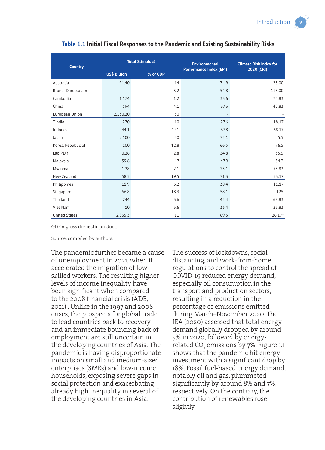| <b>Country</b>       | <b>Total Stimulus#</b> |          | <b>Environmental</b>    | <b>Climate Risk Index for</b> |
|----------------------|------------------------|----------|-------------------------|-------------------------------|
|                      | <b>US\$ Billion</b>    | % of GDP | Performance Index (EPI) | 2020 (CRI)                    |
| Australia            | 191.40                 | 14       | 74.9                    | 28.00                         |
| Brunei Darussalam    |                        | 3.2      | 54.8                    | 118.00                        |
| Cambodia             | 1,174                  | 1.2      | 33.6                    | 75.83                         |
| China                | 594                    | 4.1      | 37.3                    | 42.83                         |
| European Union       | 2,130.20               | 30       |                         |                               |
| Tindia               | 270                    | 10       | 27.6                    | 18.17                         |
| Indonesia            | 44.1                   | 4.41     | 37.8                    | 68.17                         |
| Japan                | 2,100                  | 40       | 75.1                    | 5.5                           |
| Korea, Republic of   | 100                    | 12.8     | 66.5                    | 76.5                          |
| Lao PDR              | 0.26                   | 2.8      | 34.8                    | 35.5                          |
| Malaysia             | 59.6                   | 17       | 47.9                    | 84.3                          |
| Myanmar              | 1.28                   | 2.1      | 25.1                    | 58.83                         |
| New Zealand          | 58.5                   | 19.5     | 71.3                    | 53.17                         |
| Philippines          | 11.9                   | 3.2      | 38.4                    | 11.17                         |
| Singapore            | 66.8                   | 18.3     | 58.1                    | 125                           |
| Thailand             | 744                    | 3.6      | 45.4                    | 68.83                         |
| Viet Nam             | 10                     | 3.6      | 33.4                    | 23.83                         |
| <b>United States</b> | 2,835.3                | 11       | 69.3                    | $26.17*$                      |

#### **Table 1.1 Initial Fiscal Responses to the Pandemic and Existing Sustainability Risks**

GDP = gross domestic product.

Source: compiled by authors.

The pandemic further became a cause of unemployment in 2021, when it accelerated the migration of lowskilled workers. The resulting higher levels of income inequality have been significant when compared to the 2008 financial crisis (ADB, 2021) . Unlike in the 1997 and 2008 crises, the prospects for global trade to lead countries back to recovery and an immediate bouncing back of employment are still uncertain in the developing countries of Asia. The pandemic is having disproportionate impacts on small and medium-sized enterprises (SMEs) and low-income households, exposing severe gaps in social protection and exacerbating already high inequality in several of the developing countries in Asia.

The success of lockdowns, social distancing, and work-from-home regulations to control the spread of COVID-19 reduced energy demand, especially oil consumption in the transport and production sectors, resulting in a reduction in the percentage of emissions emitted during March–November 2020. The IEA (2020) assessed that total energy demand globally dropped by around 5% in 2020, followed by energyrelated CO<sub>2</sub> emissions by 7%. Figure 1.1 shows that the pandemic hit energy investment with a significant drop by 18%. Fossil fuel-based energy demand, notably oil and gas, plummeted significantly by around 8% and 7%, respectively. On the contrary, the contribution of renewables rose slightly.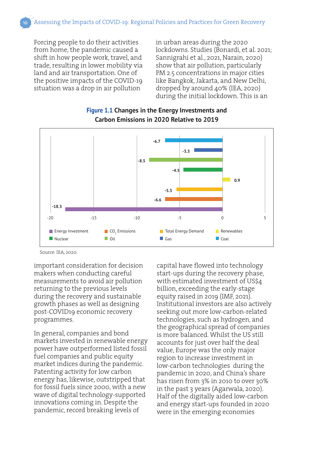Forcing people to do their activities from home, the pandemic caused a shift in how people work, travel, and trade, resulting in lower mobility via land and air transportation. One of the positive impacts of the COVID-19 situation was a drop in air pollution

in urban areas during the 2020 lockdowns. Studies (Bonardi, et al. 2021; Sannigrahi et al., 2021, Narain, 2020) show that air pollution, particularly PM 2.5 concentrations in major cities like Bangkok, Jakarta, and New Delhi, dropped by around 40% (IEA, 2020) during the initial lockdown. This is an



#### **Figure 1.1 Changes in the Energy Investments and Carbon Emissions in 2020 Relative to 2019**

Source: IEA, 2020.

important consideration for decision makers when conducting careful measurements to avoid air pollution returning to the previous levels during the recovery and sustainable growth phases as well as designing post-COVID19 economic recovery programmes.

In general, companies and bond markets invested in renewable energy power have outperformed listed fossil fuel companies and public equity market indices during the pandemic. Patenting activity for low carbon energy has, likewise, outstripped that for fossil fuels since 2000, with a new wave of digital technology-supported innovations coming in. Despite the pandemic, record breaking levels of

capital have flowed into technology start-ups during the recovery phase, with estimated investment of US\$4 billion, exceeding the early-stage equity raised in 2019 (IMF, 2021). Institutional investors are also actively seeking out more low-carbon-related technologies, such as hydrogen, and the geographical spread of companies is more balanced. Whilst the US still accounts for just over half the deal value, Europe was the only major region to increase investment in low-carbon technologies during the pandemic in 2020, and China's share has risen from 3% in 2010 to over 30% in the past 3 years (Agarwala, 2020). Half of the digitally aided low-carbon and energy start-ups founded in 2020 were in the emerging economies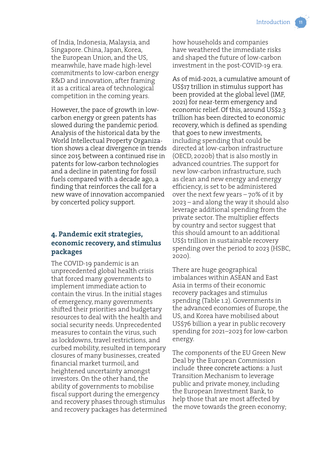of India, Indonesia, Malaysia, and Singapore. China, Japan, Korea, the European Union, and the US, meanwhile, have made high-level commitments to low-carbon energy R&D and innovation, after framing it as a critical area of technological competition in the coming years.

However, the pace of growth in lowcarbon energy or green patents has slowed during the pandemic period. Analysis of the historical data by the World Intellectual Property Organization shows a clear divergence in trends since 2015 between a continued rise in patents for low‐carbon technologies and a decline in patenting for fossil fuels compared with a decade ago, a finding that reinforces the call for a new wave of innovation accompanied by concerted policy support.

#### **4. Pandemic exit strategies, economic recovery, and stimulus packages**

The COVID-19 pandemic is an unprecedented global health crisis that forced many governments to implement immediate action to contain the virus. In the initial stages of emergency, many governments shifted their priorities and budgetary resources to deal with the health and social security needs. Unprecedented measures to contain the virus, such as lockdowns, travel restrictions, and curbed mobility, resulted in temporary closures of many businesses, created financial market turmoil, and heightened uncertainty amongst investors. On the other hand, the ability of governments to mobilise fiscal support during the emergency and recovery phases through stimulus and recovery packages has determined how households and companies have weathered the immediate risks and shaped the future of low-carbon investment in the post-COVID-19 era.

As of mid-2021, a cumulative amount of US\$17 trillion in stimulus support has been provided at the global level (IMF, 2021) for near-term emergency and economic relief. Of this, around US\$2.3 trillion has been directed to economic recovery, which is defined as spending that goes to new investments, including spending that could be directed at low-carbon infrastructure (OECD, 2020b) that is also mostly in advanced countries. The support for new low-carbon infrastructure, such as clean and new energy and energy efficiency, is set to be administered over the next few years – 70% of it by 2023 – and along the way it should also leverage additional spending from the private sector. The multiplier effects by country and sector suggest that this should amount to an additional US\$1 trillion in sustainable recovery spending over the period to 2023 (HSBC, 2020).

There are huge geographical imbalances within ASEAN and East Asia in terms of their economic recovery packages and stimulus spending (Table 1.2). Governments in the advanced economies of Europe, the US, and Korea have mobilised about US\$76 billion a year in public recovery spending for 2021–2023 for low-carbon energy.

The components of the EU Green New Deal by the European Commission include three concrete actions: a Just Transition Mechanism to leverage public and private money, including the European Investment Bank, to help those that are most affected by the move towards the green economy;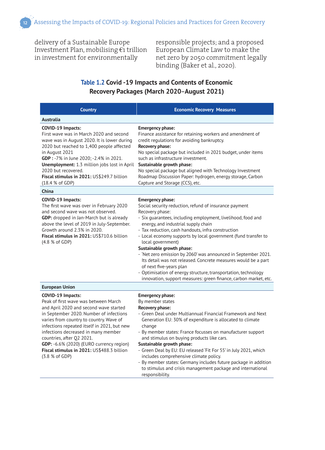delivery of a Sustainable Europe Investment Plan, mobilising  $\epsilon_1$  trillion in investment for environmentally

responsible projects; and a proposed European Climate Law to make the net zero by 2050 commitment legally binding (Baker et al., 2020).

#### **Table 1.2 Covid -19 Impacts and Contents of Economic Recovery Packages (March 2020**–**August 2021)**

| <b>Country</b>                                                                                                                                                                                                                                                                                                                                                                                                                         | <b>Economic Recovery Measures</b>                                                                                                                                                                                                                                                                                                                                                                                                                                                                                                                                                                                                                                                          |
|----------------------------------------------------------------------------------------------------------------------------------------------------------------------------------------------------------------------------------------------------------------------------------------------------------------------------------------------------------------------------------------------------------------------------------------|--------------------------------------------------------------------------------------------------------------------------------------------------------------------------------------------------------------------------------------------------------------------------------------------------------------------------------------------------------------------------------------------------------------------------------------------------------------------------------------------------------------------------------------------------------------------------------------------------------------------------------------------------------------------------------------------|
| Australia                                                                                                                                                                                                                                                                                                                                                                                                                              |                                                                                                                                                                                                                                                                                                                                                                                                                                                                                                                                                                                                                                                                                            |
| COVID-19 Impacts:<br>First wave was in March 2020 and second<br>wave was in August 2020. It is lower during<br>2020 but reached to 1,400 people affected<br>in August 2021<br>GDP : -7% in June 2020; -2.4% in 2021.<br>Unemployment: 1.3 million jobs lost in April<br>2020 but recovered.<br>Fiscal stimulus in 2021: US\$249.7 billion<br>(18.4 % of GDP)                                                                           | <b>Emergency phase:</b><br>Finance assistance for retaining workers and amendment of<br>credit regulations for avoiding bankruptcy.<br>Recovery phase:<br>No special package but included in 2021 budget, under items<br>such as infrastructure investment.<br>Sustainable growth phase:<br>No special package but aligned with Technology Investment<br>Roadmap Discussion Paper: hydrogen, energy storage, Carbon<br>Capture and Storage (CCS), etc.                                                                                                                                                                                                                                     |
| China                                                                                                                                                                                                                                                                                                                                                                                                                                  |                                                                                                                                                                                                                                                                                                                                                                                                                                                                                                                                                                                                                                                                                            |
| COVID-19 Impacts:<br>The first wave was over in February 2020<br>and second wave was not observed.<br>GDP: dropped in Jan-March but is already<br>above the level of 2019 in July-September.<br>Growth around 2.3% in 2020.<br>Fiscal stimulus in 2021: US\$710.6 billion<br>(4.8 % of GDP)                                                                                                                                            | <b>Emergency phase:</b><br>Social security reduction, refund of insurance payment<br>Recovery phase:<br>- Six guarantees, including employment, livelihood, food and<br>energy, and industrial supply chain<br>- Tax reduction, cash handouts, infra construction<br>- Local economy supports by local government (fund transfer to<br>local government)<br>Sustainable growth phase:<br>- 'Net zero emission by 2060' was announced in September 2021.<br>Its detail was not released. Concrete measures would be a part<br>of next five-years plan<br>- Optimisation of energy structure, transportation, technology<br>innovation, support measures: green finance, carbon market, etc. |
| <b>European Union</b>                                                                                                                                                                                                                                                                                                                                                                                                                  |                                                                                                                                                                                                                                                                                                                                                                                                                                                                                                                                                                                                                                                                                            |
| <b>COVID-19 Impacts:</b><br>Peak of first wave was between March<br>and April 2020 and second wave started<br>in September 2020. Number of infections<br>varies from country to country. Wave of<br>infections repeated itself in 2021, but new<br>infections decreased in many member<br>countries, after Q2 2021.<br><b>GDP:</b> -6.6% (2020) (EURO currency region)<br>Fiscal stimulus in 2021: US\$488.3 billion<br>(3.8 % of GDP) | <b>Emergency phase:</b><br>By member states<br>Recovery phase:<br>- Green Deal under Multiannual Financial Framework and Next<br>Generation EU: 30% of expenditure is allocated to climate<br>change<br>- By member states: France focusses on manufacturer support<br>and stimulus on buying products like cars.<br>Sustainable growth phase:<br>- Green Deal by EU: EU released 'Fit For 55' in July 2021, which<br>includes comprehensive climate policy.<br>- By member states: Germany includes future package in addition<br>to stimulus and crisis management package and international<br>responsibility.                                                                          |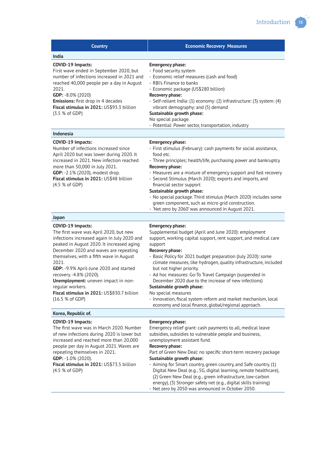| <b>Country</b>                                                                                                                                                                                                                                                                                                                                                                                                                                         | <b>Economic Recovery Measures</b>                                                                                                                                                                                                                                                                                                                                                                                                                                                                                                                                                                                                                   |
|--------------------------------------------------------------------------------------------------------------------------------------------------------------------------------------------------------------------------------------------------------------------------------------------------------------------------------------------------------------------------------------------------------------------------------------------------------|-----------------------------------------------------------------------------------------------------------------------------------------------------------------------------------------------------------------------------------------------------------------------------------------------------------------------------------------------------------------------------------------------------------------------------------------------------------------------------------------------------------------------------------------------------------------------------------------------------------------------------------------------------|
| India                                                                                                                                                                                                                                                                                                                                                                                                                                                  |                                                                                                                                                                                                                                                                                                                                                                                                                                                                                                                                                                                                                                                     |
| COVID-19 Impacts:<br>First wave ended in September 2020, but<br>number of infections increased in 2021 and<br>reached 40,000 people per a day in August<br>2021.<br>GDP: -8.0% (2020)<br><b>Emissions:</b> first drop in 4 decades<br>Fiscal stimulus in 2021: US\$93.3 billion<br>(3.5 % of GDP)                                                                                                                                                      | <b>Emergency phase:</b><br>- Food security system<br>- Economic relief measures (cash and food)<br>- RBI's Finance to banks<br>- Economic package (US\$280 billion)<br>Recovery phase:<br>- Self-reliant India: (1) economy: (2) infrastructure: (3) system: (4)<br>vibrant demography: and (5) demand<br>Sustainable growth phase:<br>No special package.<br>- Potential: Power sector, transportation, industry                                                                                                                                                                                                                                   |
| <b>Indonesia</b>                                                                                                                                                                                                                                                                                                                                                                                                                                       |                                                                                                                                                                                                                                                                                                                                                                                                                                                                                                                                                                                                                                                     |
| COVID-19 Impacts:<br>Number of infections increased since<br>April 2020 but was lower during 2020. It<br>increased in 2021. New infection reached<br>more than 50,000 in July 2021.<br>GDP: -2.1% (2020), modest drop.<br>Fiscal stimulus in 2021: US\$48 billion<br>(4.5 % of GDP)                                                                                                                                                                    | <b>Emergency phase:</b><br>- First stimulus (February): cash payments for social assistance,<br>food etc.<br>- Three principles; health/life, purchasing power and bankruptcy<br>Recovery phase:<br>- Measures are a mixture of emergency support and fast recovery<br>- Second Stimulus (March 2020); exports and imports, and<br>financial sector support<br>Sustainable growth phase:<br>- No special package. Third stimulus (March 2020) includes some<br>green component, such as micro grid construction.<br>- 'Net zero by 2060' was announced in August 2021.                                                                              |
| Japan                                                                                                                                                                                                                                                                                                                                                                                                                                                  |                                                                                                                                                                                                                                                                                                                                                                                                                                                                                                                                                                                                                                                     |
| COVID-19 Impacts:<br>The first wave was April 2020, but new<br>infections increased again in July 2020 and<br>peaked in August 2020. It increased aging<br>December 2020 and waves are repeating<br>themselves, with a fifth wave in August<br>2021.<br>GDP: -9.9% April-June 2020 and started<br>recovery. - 4.8% (2020).<br>Unemployment: uneven impact in non-<br>regular workers.<br>Fiscal stimulus in 2021: US\$830.7 billion<br>(16.5 % of GDP) | <b>Emergency phase:</b><br>Supplemental budget (April and June 2020): employment<br>support, working capital support, rent support, and medical care<br>support<br>Recovery phase:<br>- Basic Policy for 2021 budget preparation (July 2020): some<br>climate measures, like hydrogen, quality infrastructure, included<br>but not higher priority.<br>- Ad hoc measures: Go-To Travel Campaign (suspended in<br>December 2020 due to the increase of new infections)<br>Sustainable growth phase:<br>No special measures<br>- Innovation, fiscal system reform and market mechanism, local<br>economy and local finance, global/regional approach. |
| Korea, Republic of.                                                                                                                                                                                                                                                                                                                                                                                                                                    |                                                                                                                                                                                                                                                                                                                                                                                                                                                                                                                                                                                                                                                     |
| COVID-19 Impacts:<br>The first wave was in March 2020. Number<br>of new infections during 2020 is lower but<br>increased and reached more than 20,000<br>people per day in August 2021. Waves are<br>repeating themselves in 2021.<br>GDP: -1.0% (2020).<br>Fiscal stimulus in 2021: US\$73.5 billion<br>(4.5 % of GDP)                                                                                                                                | <b>Emergency phase:</b><br>Emergency relief grant: cash payments to all, medical leave<br>subsidies, subsidies to vulnerable people and business,<br>unemployment assistant fund.<br>Recovery phase:<br>Part of Green New Deal: no specific short-term recovery package<br>Sustainable growth phase:<br>- Aiming for Smart country, green country, and Safe country. (1)<br>Digital New Deal (e.g., 5G, digital learning, remote healthcare),<br>(2) Green New Deal (e.g., green infrastructure, low-carbon                                                                                                                                         |

energy), (3) Stronger safety net (e.g., digital skills training) - Net zero by 2050 was announced in October 2050.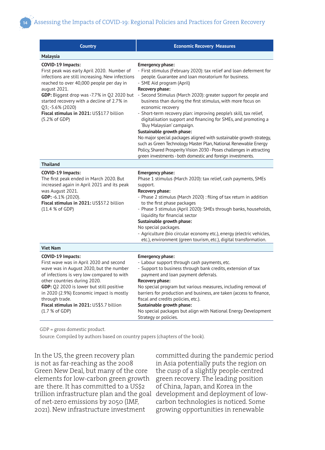| <b>Country</b>                                                                                                                                                                                                                                                                                                                                                | <b>Economic Recovery Measures</b>                                                                                                                                                                                                                                                                                                                                                                                                                                                                                                                                                                                                                                                                                                                                                                                                              |
|---------------------------------------------------------------------------------------------------------------------------------------------------------------------------------------------------------------------------------------------------------------------------------------------------------------------------------------------------------------|------------------------------------------------------------------------------------------------------------------------------------------------------------------------------------------------------------------------------------------------------------------------------------------------------------------------------------------------------------------------------------------------------------------------------------------------------------------------------------------------------------------------------------------------------------------------------------------------------------------------------------------------------------------------------------------------------------------------------------------------------------------------------------------------------------------------------------------------|
| Malaysia                                                                                                                                                                                                                                                                                                                                                      |                                                                                                                                                                                                                                                                                                                                                                                                                                                                                                                                                                                                                                                                                                                                                                                                                                                |
| COVID-19 Impacts:<br>First peak was early April 2020. Number of<br>infections are still increasing. New infections<br>reached to over 40,000 people per day in<br>august 2021.<br>GDP: Biggest drop was -7.7% in Q2 2020 but<br>started recovery with a decline of 2.7% in<br>Q3; -5.6% (2020)<br>Fiscal stimulus in 2021: US\$17.7 billion<br>(5.2% of GDP)  | <b>Emergency phase:</b><br>- First stimulus (February 2020): tax relief and loan deferment for<br>people. Guarantee and loan moratorium for business.<br>- SME Aid program (April)<br>Recovery phase:<br>- Second Stimulus (March 2020): greater support for people and<br>business than during the first stimulus, with more focus on<br>economic recovery<br>- Short-term recovery plan: improving people's skill, tax relief,<br>digitalisation support and financing for SMEs, and promoting a<br>'Buy Malaysian' campaign.<br>Sustainable growth phase:<br>No major special packages aligned with sustainable growth strategy,<br>such as Green Technology Master Plan, National Renewable Energy<br>Policy, Shared Prosperity Vision 2030 - Poses challenges in attracting<br>green investments - both domestic and foreign investments. |
| <b>Thailand</b>                                                                                                                                                                                                                                                                                                                                               |                                                                                                                                                                                                                                                                                                                                                                                                                                                                                                                                                                                                                                                                                                                                                                                                                                                |
| <b>COVID-19 Impacts:</b><br>The first peak ended in March 2020. But<br>increased again in April 2021 and its peak<br>was August 2021.<br>GDP: -6.1% (2020).<br>Fiscal stimulus in 2021: US\$57.2 billion<br>(11.4 % of GDP)                                                                                                                                   | <b>Emergency phase:</b><br>Phase 1 stimulus (March 2020): tax relief, cash payments, SMEs<br>support.<br>Recovery phase:<br>- Phase 2 stimulus (March 2020) : filing of tax return in addition<br>to the first phase packages<br>- Phase 3 stimulus (April 2020): SMEs through banks, households,<br>liquidity for financial sector<br>Sustainable growth phase:<br>No special packages.<br>- Agriculture (bio circular economy etc.), energy (electric vehicles,<br>etc.), environment (green tourism, etc.), digital transformation.                                                                                                                                                                                                                                                                                                         |
| <b>Viet Nam</b>                                                                                                                                                                                                                                                                                                                                               |                                                                                                                                                                                                                                                                                                                                                                                                                                                                                                                                                                                                                                                                                                                                                                                                                                                |
| COVID-19 Impacts:<br>First wave was in April 2020 and second<br>wave was in August 2020, but the number<br>of infections is very low compared to with<br>other countries during 2020.<br>GDP: Q2 2020 is lower but still positive<br>in 2020 (2.9%) Economic impact is mostly<br>through trade.<br>Fiscal stimulus in 2021: US\$5.7 billion<br>(1.7 % of GDP) | <b>Emergency phase:</b><br>- Labour support through cash payments, etc.<br>- Support to business through bank credits, extension of tax<br>payment and loan payment deferrals.<br>Recovery phase:<br>No special program but various measures, including removal of<br>barriers for production and business, are taken (access to finance,<br>fiscal and credits policies, etc.).<br>Sustainable growth phase:<br>No special packages but align with National Energy Development<br>Strategy or policies.                                                                                                                                                                                                                                                                                                                                       |

GDP = gross domestic product.

Source: Compiled by authors based on country papers (chapters of the book).

In the US, the green recovery plan is not as far-reaching as the 2008 Green New Deal, but many of the core elements for low-carbon green growth are there. It has committed to a US\$2 trillion infrastructure plan and the goal of net-zero emissions by 2050 (IMF, 2021). New infrastructure investment

committed during the pandemic period in Asia potentially puts the region on the cusp of a slightly people-centred green recovery. The leading position of China, Japan, and Korea in the development and deployment of lowcarbon technologies is noticed. Some growing opportunities in renewable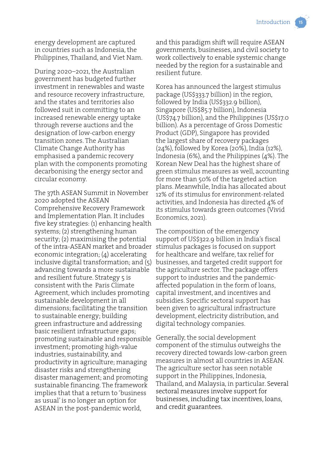energy development are captured in countries such as Indonesia, the Philippines, Thailand, and Viet Nam.

During 2020–2021, the Australian government has budgeted further investment in renewables and waste and resource recovery infrastructure, and the states and territories also followed suit in committing to an increased renewable energy uptake through reverse auctions and the designation of low-carbon energy transition zones. The Australian Climate Change Authority has emphasised a pandemic recovery plan with the components promoting decarbonising the energy sector and circular economy.

The 37th ASEAN Summit in November 2020 adopted the ASEAN Comprehensive Recovery Framework and Implementation Plan. It includes five key strategies: (1) enhancing health systems; (2) strengthening human security; (2) maximising the potential of the intra-ASEAN market and broader economic integration; (4) accelerating inclusive digital transformation; and (5) advancing towards a more sustainable and resilient future. Strategy 5 is consistent with the Paris Climate Agreement, which includes promoting sustainable development in all dimensions; facilitating the transition to sustainable energy; building green infrastructure and addressing basic resilient infrastructure gaps; promoting sustainable and responsible investment; promoting high-value industries, sustainability, and productivity in agriculture; managing disaster risks and strengthening disaster management; and promoting sustainable financing. The framework implies that that a return to 'business as usual' is no longer an option for ASEAN in the post-pandemic world,

and this paradigm shift will require ASEAN governments, businesses, and civil society to work collectively to enable systemic change needed by the region for a sustainable and resilient future.

Korea has announced the largest stimulus package (US\$333.7 billion) in the region, followed by India (US\$332.9 billion), Singapore (US\$85.7 billion), Indonesia (US\$74.7 billion), and the Philippines (US\$17.0 billion). As a percentage of Gross Domestic Product (GDP), Singapore has provided the largest share of recovery packages (24%), followed by Korea (20%), India (12%), Indonesia (6%), and the Philippines (4%). The Korean New Deal has the highest share of green stimulus measures as well, accounting for more than 50% of the targeted action plans. Meanwhile, India has allocated about 12% of its stimulus for environment-related activities, and Indonesia has directed 4% of its stimulus towards green outcomes (Vivid Economics, 2021).

The composition of the emergency support of US\$322.9 billion in India's fiscal stimulus packages is focused on support for healthcare and welfare, tax relief for businesses, and targeted credit support for the agriculture sector. The package offers support to industries and the pandemicaffected population in the form of loans, capital investment, and incentives and subsidies. Specific sectoral support has been given to agricultural infrastructure development, electricity distribution, and digital technology companies.

Generally, the social development component of the stimulus outweighs the recovery directed towards low-carbon green measures in almost all countries in ASEAN. The agriculture sector has seen notable support in the Philippines, Indonesia, Thailand, and Malaysia, in particular. Several sectoral measures involve support for businesses, including tax incentives, loans, and credit guarantees.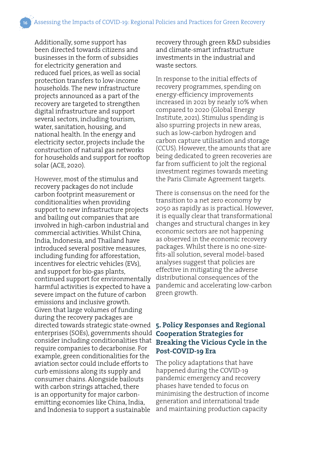Additionally, some support has been directed towards citizens and businesses in the form of subsidies for electricity generation and reduced fuel prices, as well as social protection transfers to low-income households. The new infrastructure projects announced as a part of the recovery are targeted to strengthen digital infrastructure and support several sectors, including tourism, water, sanitation, housing, and national health. In the energy and electricity sector, projects include the construction of natural gas networks for households and support for rooftop solar (ACE, 2020).

However, most of the stimulus and recovery packages do not include carbon footprint measurement or conditionalities when providing support to new infrastructure projects and bailing out companies that are involved in high-carbon industrial and commercial activities. Whilst China, India, Indonesia, and Thailand have introduced several positive measures, including funding for afforestation, incentives for electric vehicles (EVs), and support for bio-gas plants, continued support for environmentally harmful activities is expected to have a severe impact on the future of carbon emissions and inclusive growth. Given that large volumes of funding during the recovery packages are directed towards strategic state-owned enterprises (SOEs), governments should **Cooperation Strategies for**  consider including conditionalities that require companies to decarbonise. For example, green conditionalities for the aviation sector could include efforts to curb emissions along its supply and consumer chains. Alongside bailouts with carbon strings attached, there is an opportunity for major carbonemitting economies like China, India, and Indonesia to support a sustainable

recovery through green R&D subsidies and climate-smart infrastructure investments in the industrial and waste sectors.

In response to the initial effects of recovery programmes, spending on energy-efficiency improvements increased in 2021 by nearly 10% when compared to 2020 (Global Energy Institute, 2021). Stimulus spending is also spurring projects in new areas, such as low‐carbon hydrogen and carbon capture utilisation and storage (CCUS). However, the amounts that are being dedicated to green recoveries are far from sufficient to jolt the regional investment regimes towards meeting the Paris Climate Agreement targets.

There is consensus on the need for the transition to a net zero economy by 2050 as rapidly as is practical. However, it is equally clear that transformational changes and structural changes in key economic sectors are not happening as observed in the economic recovery packages. Whilst there is no one-sizefits-all solution, several model-based analyses suggest that policies are effective in mitigating the adverse distributional consequences of the pandemic and accelerating low-carbon green growth.

### **5. Policy Responses and Regional Breaking the Vicious Cycle in the Post-COVID-19 Era**

The policy adaptations that have happened during the COVID-19 pandemic emergency and recovery phases have tended to focus on minimising the destruction of income generation and international trade and maintaining production capacity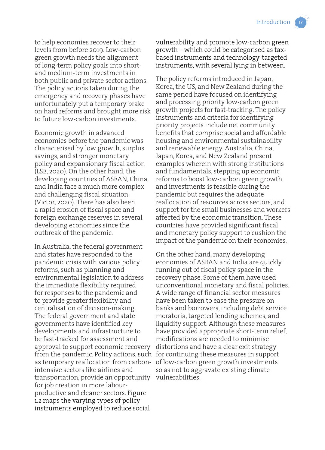to help economies recover to their levels from before 2019. Low-carbon green growth needs the alignment of long-term policy goals into shortand medium-term investments in both public and private sector actions. The policy actions taken during the emergency and recovery phases have unfortunately put a temporary brake on hard reforms and brought more risk to future low-carbon investments.

Economic growth in advanced economies before the pandemic was characterised by low growth, surplus savings, and stronger monetary policy and expansionary fiscal action (LSE, 2020). On the other hand, the developing countries of ASEAN, China, and India face a much more complex and challenging fiscal situation (Victor, 2020). There has also been a rapid erosion of fiscal space and foreign exchange reserves in several developing economies since the outbreak of the pandemic.

In Australia, the federal government and states have responded to the pandemic crisis with various policy reforms, such as planning and environmental legislation to address the immediate flexibility required for responses to the pandemic and to provide greater flexibility and centralisation of decision-making. The federal government and state governments have identified key developments and infrastructure to be fast-tracked for assessment and approval to support economic recovery intensive sectors like airlines and transportation, provide an opportunity vulnerabilities.for job creation in more labourproductive and cleaner sectors. Figure 1.2 maps the varying types of policy instruments employed to reduce social

vulnerability and promote low-carbon green growth – which could be categorised as taxbased instruments and technology-targeted instruments, with several lying in between.

The policy reforms introduced in Japan, Korea, the US, and New Zealand during the same period have focused on identifying and processing priority low-carbon green growth projects for fast-tracking. The policy instruments and criteria for identifying priority projects include net community benefits that comprise social and affordable housing and environmental sustainability and renewable energy. Australia, China, Japan, Korea, and New Zealand present examples wherein with strong institutions and fundamentals, stepping up economic reforms to boost low-carbon green growth and investments is feasible during the pandemic but requires the adequate reallocation of resources across sectors, and support for the small businesses and workers affected by the economic transition. These countries have provided significant fiscal and monetary policy support to cushion the impact of the pandemic on their economies.

from the pandemic. Policy actions, such for continuing these measures in support as temporary reallocation from carbon-of low-carbon green growth investments On the other hand, many developing economies of ASEAN and India are quickly running out of fiscal policy space in the recovery phase. Some of them have used unconventional monetary and fiscal policies. A wide range of financial sector measures have been taken to ease the pressure on banks and borrowers, including debt service moratoria, targeted lending schemes, and liquidity support. Although these measures have provided appropriate short-term relief, modifications are needed to minimise distortions and have a clear exit strategy so as not to aggravate existing climate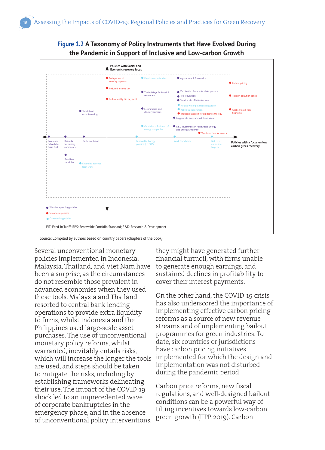



Source: Compiled by authors based on country papers (chapters of the book).

Several unconventional monetary policies implemented in Indonesia, Malaysia, Thailand, and Viet Nam have been a surprise, as the circumstances do not resemble those prevalent in advanced economies when they used these tools. Malaysia and Thailand resorted to central bank lending operations to provide extra liquidity to firms, whilst Indonesia and the Philippines used large-scale asset purchases. The use of unconventional monetary policy reforms, whilst warranted, inevitably entails risks, which will increase the longer the tools are used, and steps should be taken to mitigate the risks, including by establishing frameworks delineating their use. The impact of the COVID-19 shock led to an unprecedented wave of corporate bankruptcies in the emergency phase, and in the absence of unconventional policy interventions,

they might have generated further financial turmoil, with firms unable to generate enough earnings, and sustained declines in profitability to cover their interest payments.

On the other hand, the COVID-19 crisis has also underscored the importance of implementing effective carbon pricing reforms as a source of new revenue streams and of implementing bailout programmes for green industries. To date, six countries or jurisdictions have carbon pricing initiatives implemented for which the design and implementation was not disturbed during the pandemic period

Carbon price reforms, new fiscal regulations, and well-designed bailout conditions can be a powerful way of tilting incentives towards low-carbon green growth (IIPP, 2019). Carbon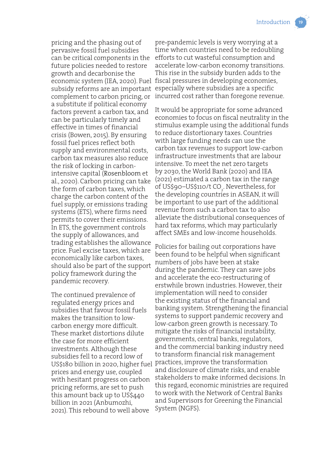pricing and the phasing out of pervasive fossil fuel subsidies can be critical components in the future policies needed to restore growth and decarbonise the a substitute if political economy factors prevent a carbon tax, and can be particularly timely and effective in times of financial crisis (Bowen, 2015). By ensuring fossil fuel prices reflect both supply and environmental costs, carbon tax measures also reduce the risk of locking in carbonintensive capital (Rosenbloom et al., 2020). Carbon pricing can take the form of carbon taxes, which charge the carbon content of the fuel supply, or emissions trading systems (ETS), where firms need permits to cover their emissions. In ETS, the government controls the supply of allowances, and trading establishes the allowance price. Fuel excise taxes, which are economically like carbon taxes, should also be part of the support policy framework during the pandemic recovery.

The continued prevalence of regulated energy prices and subsidies that favour fossil fuels makes the transition to lowcarbon energy more difficult. These market distortions dilute the case for more efficient investments. Although these subsidies fell to a record low of US\$180 billion in 2020, higher fuel prices and energy use, coupled with hesitant progress on carbon pricing reforms, are set to push this amount back up to US\$440 billion in 2021 (Anbumozhi, 2021). This rebound to well above

economic system (IEA, 2020). Fuel fiscal pressures in developing economies, subsidy reforms are an important especially where subsidies are a specific complement to carbon pricing, or incurred cost rather than foregone revenue. pre‐pandemic levels is very worrying at a time when countries need to be redoubling efforts to cut wasteful consumption and accelerate low-carbon economy transitions. This rise in the subsidy burden adds to the

> It would be appropriate for some advanced economies to focus on fiscal neutrality in the stimulus example using the additional funds to reduce distortionary taxes. Countries with large funding needs can use the carbon tax revenues to support low-carbon infrastructure investments that are labour intensive. To meet the net zero targets by 2030, the World Bank (2020) and IEA (2021) estimated a carbon tax in the range of US\$90–US\$110/t CO<sub>2</sub>. Nevertheless, for the developing countries in ASEAN, it will be important to use part of the additional revenue from such a carbon tax to also alleviate the distributional consequences of hard tax reforms, which may particularly affect SMEs and low-income households.

> Policies for bailing out corporations have been found to be helpful when significant numbers of jobs have been at stake during the pandemic. They can save jobs and accelerate the eco-restructuring of erstwhile brown industries. However, their implementation will need to consider the existing status of the financial and banking system. Strengthening the financial systems to support pandemic recovery and low-carbon green growth is necessary. To mitigate the risks of financial instability, governments, central banks, regulators, and the commercial banking industry need to transform financial risk management practices, improve the transformation and disclosure of climate risks, and enable stakeholders to make informed decisions. In this regard, economic ministries are required to work with the Network of Central Banks and Supervisors for Greening the Financial System (NGFS).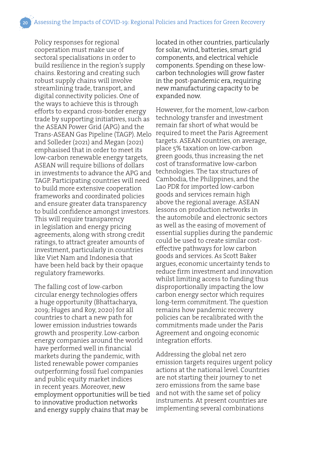Policy responses for regional cooperation must make use of sectoral specialisations in order to build resilience in the region's supply chains. Restoring and creating such robust supply chains will involve streamlining trade, transport, and digital connectivity policies. One of the ways to achieve this is through efforts to expand cross-border energy trade by supporting initiatives, such as the ASEAN Power Grid (APG) and the Trans-ASEAN Gas Pipeline (TAGP). Melo and Solleder (2021) and Megan (2021) emphasised that in order to meet its low-carbon renewable energy targets, ASEAN will require billions of dollars in investments to advance the APG and TAGP. Participating countries will need to build more extensive cooperation frameworks and coordinated policies and ensure greater data transparency to build confidence amongst investors. This will require transparency in legislation and energy pricing agreements, along with strong credit ratings, to attract greater amounts of investment, particularly in countries like Viet Nam and Indonesia that have been held back by their opaque regulatory frameworks.

The falling cost of low-carbon circular energy technologies offers a huge opportunity (Bhattacharya, 2019; Huges and Roy, 2020) for all countries to chart a new path for lower emission industries towards growth and prosperity. Low-carbon energy companies around the world have performed well in financial markets during the pandemic, with listed renewable power companies outperforming fossil fuel companies and public equity market indices in recent years. Moreover, new employment opportunities will be tied to innovative production networks and energy supply chains that may be

located in other countries, particularly for solar, wind, batteries, smart grid components, and electrical vehicle components. Spending on these lowcarbon technologies will grow faster in the post-pandemic era, requiring new manufacturing capacity to be expanded now.

However, for the moment, low-carbon technology transfer and investment remain far short of what would be required to meet the Paris Agreement targets. ASEAN countries, on average, place 5% taxation on low-carbon green goods, thus increasing the net cost of transformative low-carbon technologies. The tax structures of Cambodia, the Philippines, and the Lao PDR for imported low-carbon goods and services remain high above the regional average. ASEAN lessons on production networks in the automobile and electronic sectors as well as the easing of movement of essential supplies during the pandemic could be used to create similar costeffective pathways for low carbon goods and services. As Scott Baker argues, economic uncertainty tends to reduce firm investment and innovation whilst limiting access to funding thus disproportionally impacting the low carbon energy sector which requires long-term commitment. The question remains how pandemic recovery policies can be recalibrated with the commitments made under the Paris Agreement and ongoing economic integration efforts.

Addressing the global net zero emission targets requires urgent policy actions at the national level. Countries are not starting their journey to net zero emissions from the same base and not with the same set of policy instruments. At present countries are implementing several combinations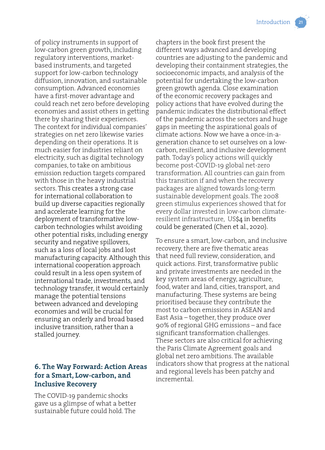of policy instruments in support of low-carbon green growth, including regulatory interventions, marketbased instruments, and targeted support for low-carbon technology diffusion, innovation, and sustainable consumption. Advanced economies have a first-mover advantage and could reach net zero before developing economies and assist others in getting there by sharing their experiences. The context for individual companies' strategies on net zero likewise varies depending on their operations. It is much easier for industries reliant on electricity, such as digital technology companies, to take on ambitious emission reduction targets compared with those in the heavy industrial sectors. This creates a strong case for international collaboration to build up diverse capacities regionally and accelerate learning for the deployment of transformative lowcarbon technologies whilst avoiding other potential risks, including energy security and negative spillovers, such as a loss of local jobs and lost manufacturing capacity. Although this international cooperation approach could result in a less open system of international trade, investments, and technology transfer, it would certainly manage the potential tensions between advanced and developing economies and will be crucial for ensuring an orderly and broad based inclusive transition, rather than a stalled journey.

#### **6. The Way Forward: Action Areas for a Smart, Low-carbon, and Inclusive Recovery**

The COVID-19 pandemic shocks gave us a glimpse of what a better sustainable future could hold. The

chapters in the book first present the different ways advanced and developing countries are adjusting to the pandemic and developing their containment strategies, the socioeconomic impacts, and analysis of the potential for undertaking the low-carbon green growth agenda. Close examination of the economic recovery packages and policy actions that have evolved during the pandemic indicates the distributional effect of the pandemic across the sectors and huge gaps in meeting the aspirational goals of climate actions. Now we have a once-in-ageneration chance to set ourselves on a lowcarbon, resilient, and inclusive development path. Today's policy actions will quickly become post-COVID-19 global net-zero transformation. All countries can gain from this transition if and when the recovery packages are aligned towards long-term sustainable development goals. The 2008 green stimulus experiences showed that for every dollar invested in low-carbon climateresilient infrastructure, US\$4 in benefits could be generated (Chen et al., 2020).

To ensure a smart, low-carbon, and inclusive recovery, there are five thematic areas that need full review, consideration, and quick actions. First, transformative public and private investments are needed in the key system areas of energy, agriculture, food, water and land, cities, transport, and manufacturing. These systems are being prioritised because they contribute the most to carbon emissions in ASEAN and East Asia – together, they produce over 90% of regional GHG emissions – and face significant transformation challenges. These sectors are also critical for achieving the Paris Climate Agreement goals and global net zero ambitions. The available indicators show that progress at the national and regional levels has been patchy and incremental.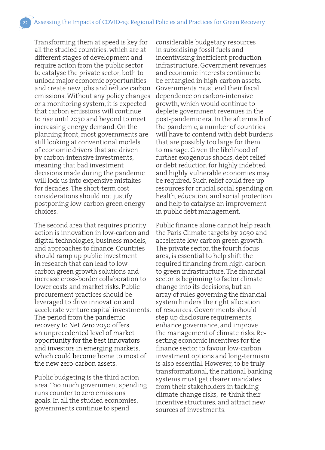Transforming them at speed is key for all the studied countries, which are at different stages of development and require action from the public sector to catalyse the private sector, both to unlock major economic opportunities and create new jobs and reduce carbon emissions. Without any policy changes or a monitoring system, it is expected that carbon emissions will continue to rise until 2030 and beyond to meet increasing energy demand. On the planning front, most governments are still looking at conventional models of economic drivers that are driven by carbon-intensive investments, meaning that bad investment decisions made during the pandemic will lock us into expensive mistakes for decades. The short-term cost considerations should not justify postponing low-carbon green energy choices.

The second area that requires priority action is innovation in low-carbon and digital technologies, business models, and approaches to finance. Countries should ramp up public investment in research that can lead to lowcarbon green growth solutions and increase cross-border collaboration to lower costs and market risks. Public procurement practices should be leveraged to drive innovation and accelerate venture capital investments. The period from the pandemic recovery to Net Zero 2050 offers an unprecedented level of market opportunity for the best innovators and investors in emerging markets, which could become home to most of the new zero-carbon assets.

Public budgeting is the third action area. Too much government spending runs counter to zero emissions goals. In all the studied economies, governments continue to spend

considerable budgetary resources in subsidising fossil fuels and incentivising inefficient production infrastructure. Government revenues and economic interests continue to be entangled in high-carbon assets. Governments must end their fiscal dependence on carbon-intensive growth, which would continue to deplete government revenues in the post-pandemic era. In the aftermath of the pandemic, a number of countries will have to contend with debt burdens that are possibly too large for them to manage. Given the likelihood of further exogenous shocks, debt relief or debt reduction for highly indebted and highly vulnerable economies may be required. Such relief could free up resources for crucial social spending on health, education, and social protection and help to catalyse an improvement in public debt management.

Public finance alone cannot help reach the Paris Climate targets by 2030 and accelerate low carbon green growth. The private sector, the fourth focus area, is essential to help shift the required financing from high-carbon to green infrastructure. The financial sector is beginning to factor climate change into its decisions, but an array of rules governing the financial system hinders the right allocation of resources. Governments should step up disclosure requirements, enhance governance, and improve the management of climate risks. Resetting economic incentives for the finance sector to favour low-carbon investment options and long-termism is also essential. However, to be truly transformational, the national banking systems must get clearer mandates from their stakeholders in tackling climate change risks, re-think their incentive structures, and attract new sources of investments.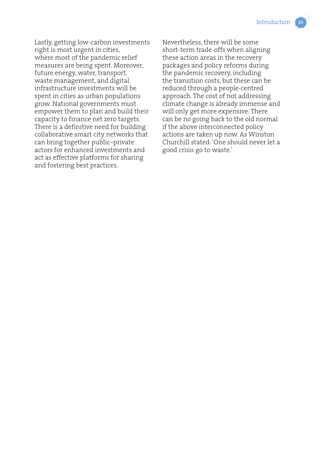Lastly, getting low-carbon investments right is most urgent in cities, where most of the pandemic relief measures are being spent. Moreover, future energy, water, transport, waste management, and digital infrastructure investments will be spent in cities as urban populations grow. National governments must empower them to plan and build their capacity to finance net zero targets. There is a definitive need for building collaborative smart city networks that can bring together public–private actors for enhanced investments and act as effective platforms for sharing and fostering best practices.

Nevertheless, there will be some short-term trade-offs when aligning these action areas in the recovery packages and policy reforms during the pandemic recovery, including the transition costs, but these can be reduced through a people-centred approach. The cost of not addressing climate change is already immense and will only get more expensive. There can be no going back to the old normal if the above interconnected policy actions are taken up now. As Winston Churchill stated: 'One should never let a good crisis go to waste.'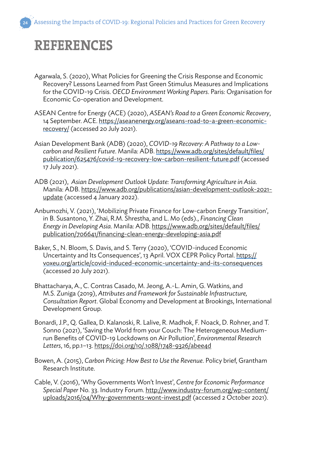## **REFERENCES**

- Agarwala, S. (2020), What Policies for Greening the Crisis Response and Economic Recovery? Lessons Learned from Past Green Stimulus Measures and Implications for the COVID-19 Crisis. *OECD Environment Working Papers*. Paris: Organisation for Economic Co-operation and Development.
- ASEAN Centre for Energy (ACE) (2020), *ASEAN's Road to a Green Economic Recovery*, 14 September. ACE. https://aseanenergy.org/aseans-road-to-a-green-economicrecovery/ (accessed 20 July 2021).
- Asian Development Bank (ADB) (2020), *COVID-19 Recovery: A Pathway to a Lowcarbon and Resilient Future*. Manila: ADB. https://www.adb.org/sites/default/files/ publication/625476/covid-19-recovery-low-carbon-resilient-future.pdf (accessed 17 July 2021).
- ADB (2021), *Asian Development Outlook Update: Transforming Agriculture in Asia*. Manila: ADB. https://www.adb.org/publications/asian-development-outlook-2021 update (accessed 4 January 2022).
- Anbumozhi, V. (2021), 'Mobilizing Private Finance for Low-carbon Energy Transition', in B. Susantono, Y. Zhai, R.M. Shrestha, and L. Mo (eds)., *Financing Clean Energy in Developing Asia*. Manila: ADB. https://www.adb.org/sites/default/files/ publication/706641/financing-clean-energy-developing-asia.pdf
- Baker, S., N. Bloom, S. Davis, and S. Terry (2020), 'COVID-induced Economic Uncertainty and Its Consequences', 13 April. VOX CEPR Policy Portal. https:// voxeu.org/article/covid-induced-economic-uncertainty-and-its-consequences (accessed 20 July 2021).
- Bhattacharya, A., C. Contras Casado, M. Jeong, A.-L. Amin, G. Watkins, and M.S. Zuniga (2019), *Attributes and Framework for Sustainable Infrastructure, Consultation Report*. Global Economy and Development at Brookings, International Development Group.
- Bonardi, J.P., Q. Gallea, D. Kalanoski, R. Lalive, R. Madhok, F. Noack, D. Rohner, and T. Sonno (2021), 'Saving the World from your Couch: The Heterogeneous Mediumrun Benefits of COVID-19 Lockdowns on Air Pollution', *Environmental Research Letters*, 16, pp.1–13. https://doi.org/10/.1088/1748-9326/abee4d
- Bowen, A. (2015), *Carbon Pricing: How Best to Use the Revenue*. Policy brief, Grantham Research Institute.
- Cable, V. (2016), 'Why Governments Won't Invest', *Centre for Economic Performance Special Paper* No. 33. Industry Forum. http://www.industry-forum.org/wp-content/ uploads/2016/04/Why-governments-wont-invest.pdf (accessed 2 October 2021).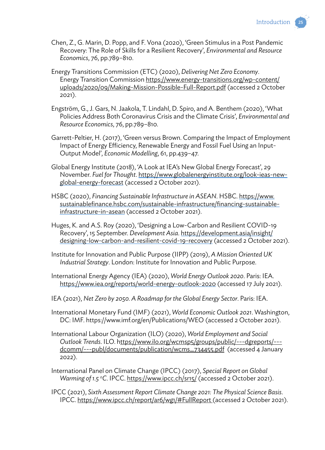

- Chen, Z., G. Marin, D. Popp, and F. Vona (2020), 'Green Stimulus in a Post Pandemic Recovery: The Role of Skills for a Resilient Recovery', *Environmental and Resource Economics*, 76, pp.789–810.
- Energy Transitions Commission (ETC) (2020), *Delivering Net Zero Economy*. Energy Transition Commission https://www.energy-transitions.org/wp-content/ uploads/2020/09/Making-Mission-Possible-Full-Report.pdf (accessed 2 October 2021).
- Engström, G., J. Gars, N. Jaakola, T. Lindahl, D. Spiro, and A. Benthem (2020), 'What Policies Address Both Coronavirus Crisis and the Climate Crisis', *Environmental and Resource Economics*, 76, pp.789–810.
- Garrett-Peltier, H. (2017), 'Green versus Brown. Comparing the Impact of Employment Impact of Energy Efficiency, Renewable Energy and Fossil Fuel Using an Input-Output Model', *Economic Modelling*, 61, pp.439–47.
- Global Energy Institute (2018), 'A Look at IEA's New Global Energy Forecast', 29 November. *Fuel for Thought*. https://www.globalenergyinstitute.org/look-ieas-newglobal-energy-forecast (accessed 2 October 2021).
- HSBC (2020), *Financing Sustainable Infrastructure in ASEAN*. HSBC. https://www. sustainablefinance.hsbc.com/sustainable-infrastructure/financing-sustainableinfrastructure-in-asean (accessed 2 October 2021).
- Huges, K. and A.S. Roy (2020), 'Designing a Low-Carbon and Resilient COVID-19 Recovery', 15 September. *Development Asia*. https://development.asia/insight/ designing-low-carbon-and-resilient-covid-19-recovery (accessed 2 October 2021).
- Institute for Innovation and Public Purpose (IIPP) (2019), *A Mission Oriented UK Industrial Strategy*. London: Institute for Innovation and Public Purpose.
- International Energy Agency (IEA) (2020), *World Energy Outlook 2020*. Paris: IEA. https://www.iea.org/reports/world-energy-outlook-2020 (accessed 17 July 2021).
- IEA (2021), *Net Zero by 2050. A Roadmap for the Global Energy Sector*. Paris: IEA.
- International Monetary Fund (IMF) (2021), *World Economic Outlook 2021*. Washington, DC: IMF. https://www.imf.org/en/Publications/WEO (accessed 2 October 2021).
- International Labour Organization (ILO) (2020), *World Employment and Social Outlook Trends*. ILO. https://www.ilo.org/wcmsp5/groups/public/---dgreports/-- dcomm/---publ/documents/publication/wcms\_734455.pdf (accessed 4 January 2022).
- International Panel on Climate Change (IPCC) (2017), *Special Report on Global*  Warming of 1.5 °C. IPCC. https://www.ipcc.ch/sr15/ (accessed 2 October 2021).
- IPCC (2021), *Sixth Assessment Report Climate Change 2021: The Physical Science Basis*. IPCC. https://www.ipcc.ch/report/ar6/wg1/#FullReport (accessed 2 October 2021).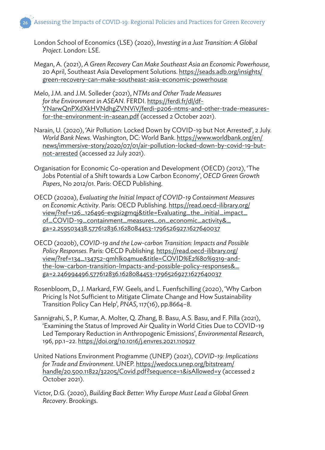- London School of Economics (LSE) (2020), *Investing in a Just Transition: A Global Project*. London: LSE.
- Megan, A. (2021), *A Green Recovery Can Make Southeast Asia an Economic Powerhouse*, 20 April, Southeast Asia Development Solutions. https://seads.adb.org/insights/ green-recovery-can-make-southeast-asia-economic-powerhouse
- Melo, J.M. and J.M. Solleder (2021), *NTMs and Other Trade Measures for the Environment in ASEAN*. FERDI. https://ferdi.fr/dl/df-YNarwQnPXdXkHVNdhgZVNViV/ferdi-p206-ntms-and-other-trade-measuresfor-the-environment-in-asean.pdf (accessed 2 October 2021).
- Narain, U. (2020), 'Air Pollution: Locked Down by COVID-19 but Not Arrested', 2 July. *World Bank News*. Washington, DC: World Bank. https://www.worldbank.org/en/ news/immersive-story/2020/07/01/air-pollution-locked-down-by-covid-19-butnot-arrested (accessed 22 July 2021).
- Organisation for Economic Co-operation and Development (OECD) (2012), 'The Jobs Potential of a Shift towards a Low Carbon Economy', *OECD Green Growth Papers*, No 2012/01. Paris: OECD Publishing.
- OECD (2020a), *Evaluating the Initial Impact of COVID-19 Containment Measures on Economic Activity*. Paris: OECD Publishing. https://read.oecd-ilibrary.org/ view/?ref=126\_126496-evgsi2gmqj&title=Evaluating\_the\_initial\_impact\_ of\_COVID-19\_containment\_measures\_on\_economic\_activity&\_ ga=2.259503438.577612836.1628084453-1796526927.1627640037
- OECD (2020b), *COVID-19 and the Low-carbon Transition: Impacts and Possible Policy Responses*. Paris: OECD Publishing. https://read.oecd-ilibrary.org/ view/?ref=134\_134752-qmhlk04mue&title=COVID%E2%80%9319-andthe-low-carbon-transition-Impacts-and-possible-policy-responses&\_ ga=2.246994496.577612836.1628084453-1796526927.1627640037
- Rosenbloom, D., J. Markard, F.W. Geels, and L. Fuenfschilling (2020), 'Why Carbon Pricing Is Not Sufficient to Mitigate Climate Change and How Sustainability Transition Policy Can Help', *PNAS*, 117(16), pp.8664–8.
- Sannigrahi, S., P. Kumar, A. Molter, Q. Zhang, B. Basu, A.S. Basu, and F. Pilla (2021), 'Examining the Status of Improved Air Quality in World Cities Due to COVID-19 Led Temporary Reduction in Anthropogenic Emissions', *Environmental Research*, 196, pp.1–22. https://doi.org/10.1016/j.envres.2021.110927
- United Nations Environment Programme (UNEP) (2021), *COVID-19: Implications for Trade and Environment*. UNEP. https://wedocs.unep.org/bitstream/ handle/20.500.11822/32205/Covid.pdf?sequence=1&isAllowed=y (accessed 2 October 2021).
- Victor, D.G. (2020), *Building Back Better: Why Europe Must Lead a Global Green Recovery*. Brookings.